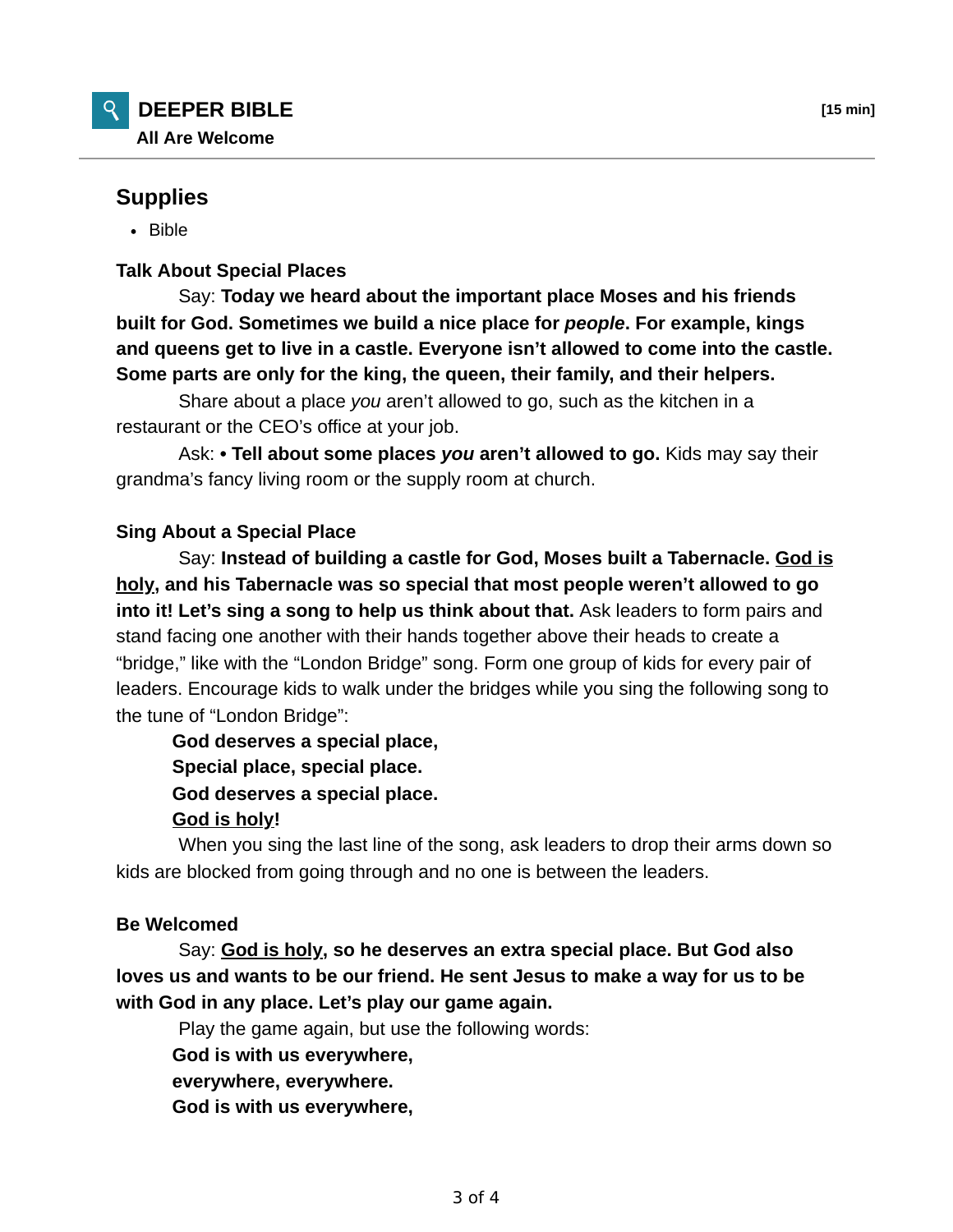# **Supplies**

• Bible

## **Talk About Special Places**

 Say: **Today we heard about the important place Moses and his friends built for God. Sometimes we build a nice place for** *people***. For example, kings and queens get to live in a castle. Everyone isn't allowed to come into the castle. Some parts are only for the king, the queen, their family, and their helpers.**

 Share about a place *you* aren't allowed to go, such as the kitchen in a restaurant or the CEO's office at your job.

 Ask: **• Tell about some places** *you* **aren't allowed to go.** Kids may say their grandma's fancy living room or the supply room at church.

## **Sing About a Special Place**

 Say: **Instead of building a castle for God, Moses built a Tabernacle. God is holy, and his Tabernacle was so special that most people weren't allowed to go into it! Let's sing a song to help us think about that.** Ask leaders to form pairs and stand facing one another with their hands together above their heads to create a "bridge," like with the "London Bridge" song. Form one group of kids for every pair of leaders. Encourage kids to walk under the bridges while you sing the following song to the tune of "London Bridge":

**God deserves a special place,**

**Special place, special place.**

**God deserves a special place.**

### **God is holy!**

 When you sing the last line of the song, ask leaders to drop their arms down so kids are blocked from going through and no one is between the leaders.

## **Be Welcomed**

 Say: **God is holy, so he deserves an extra special place. But God also loves us and wants to be our friend. He sent Jesus to make a way for us to be with God in any place. Let's play our game again.**

Play the game again, but use the following words:

**God is with us everywhere,**

**everywhere, everywhere.**

**God is with us everywhere,**